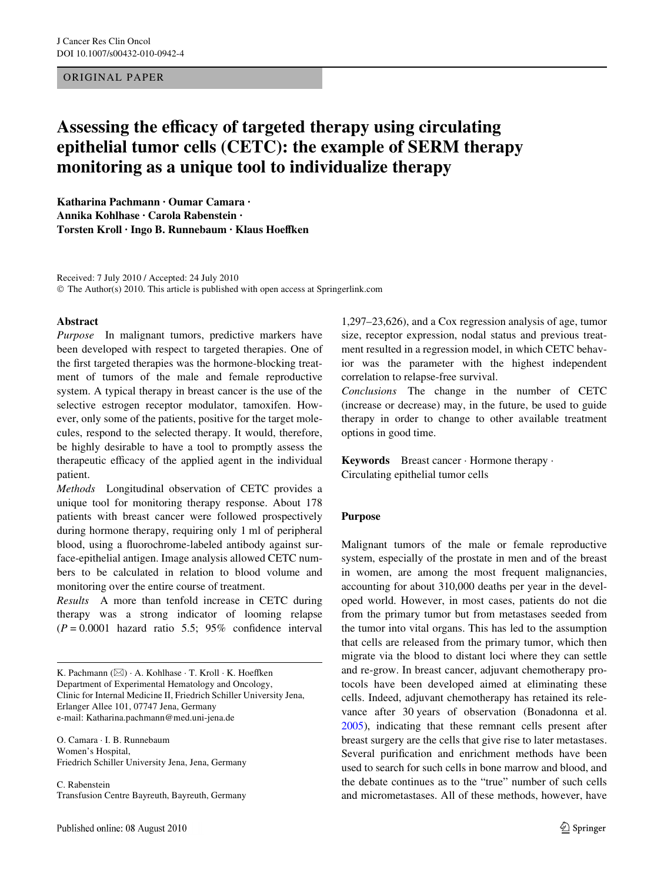## ORIGINAL PAPER

# Assessing the efficacy of targeted therapy using circulating **epithelial tumor cells (CETC): the example of SERM therapy monitoring as a unique tool to individualize therapy**

**Katharina Pachmann · Oumar Camara · Annika Kohlhase · Carola Rabenstein ·**   $T$ orsten Kroll · Ingo B. Runnebaum · Klaus Hoeffken

Received: 7 July 2010 / Accepted: 24 July 2010 © The Author(s) 2010. This article is published with open access at Springerlink.com

## **Abstract**

*Purpose* In malignant tumors, predictive markers have been developed with respect to targeted therapies. One of the first targeted therapies was the hormone-blocking treatment of tumors of the male and female reproductive system. A typical therapy in breast cancer is the use of the selective estrogen receptor modulator, tamoxifen. However, only some of the patients, positive for the target molecules, respond to the selected therapy. It would, therefore, be highly desirable to have a tool to promptly assess the therapeutic efficacy of the applied agent in the individual patient.

*Methods* Longitudinal observation of CETC provides a unique tool for monitoring therapy response. About 178 patients with breast cancer were followed prospectively during hormone therapy, requiring only 1 ml of peripheral blood, using a fluorochrome-labeled antibody against surface-epithelial antigen. Image analysis allowed CETC numbers to be calculated in relation to blood volume and monitoring over the entire course of treatment.

*Results* A more than tenfold increase in CETC during therapy was a strong indicator of looming relapse  $(P = 0.0001$  hazard ratio 5.5; 95% confidence interval

K. Pachmann  $(\boxtimes) \cdot A$ . Kohlhase  $\cdot T$ . Kroll  $\cdot$  K. Hoeffken Department of Experimental Hematology and Oncology, Clinic for Internal Medicine II, Friedrich Schiller University Jena, Erlanger Allee 101, 07747 Jena, Germany e-mail: Katharina.pachmann@med.uni-jena.de

O. Camara · I. B. Runnebaum Women's Hospital, Friedrich Schiller University Jena, Jena, Germany

C. Rabenstein Transfusion Centre Bayreuth, Bayreuth, Germany

1,297–23,626), and a Cox regression analysis of age, tumor size, receptor expression, nodal status and previous treatment resulted in a regression model, in which CETC behavior was the parameter with the highest independent correlation to relapse-free survival.

*Conclusions* The change in the number of CETC (increase or decrease) may, in the future, be used to guide therapy in order to change to other available treatment options in good time.

**Keywords** Breast cancer · Hormone therapy · Circulating epithelial tumor cells

### **Purpose**

Malignant tumors of the male or female reproductive system, especially of the prostate in men and of the breast in women, are among the most frequent malignancies, accounting for about 310,000 deaths per year in the developed world. However, in most cases, patients do not die from the primary tumor but from metastases seeded from the tumor into vital organs. This has led to the assumption that cells are released from the primary tumor, which then migrate via the blood to distant loci where they can settle and re-grow. In breast cancer, adjuvant chemotherapy protocols have been developed aimed at eliminating these cells. Indeed, adjuvant chemotherapy has retained its relevance after 30 years of observation (Bonadonna et al. [2005](#page-6-0)), indicating that these remnant cells present after breast surgery are the cells that give rise to later metastases. Several purification and enrichment methods have been used to search for such cells in bone marrow and blood, and the debate continues as to the "true" number of such cells and micrometastases. All of these methods, however, have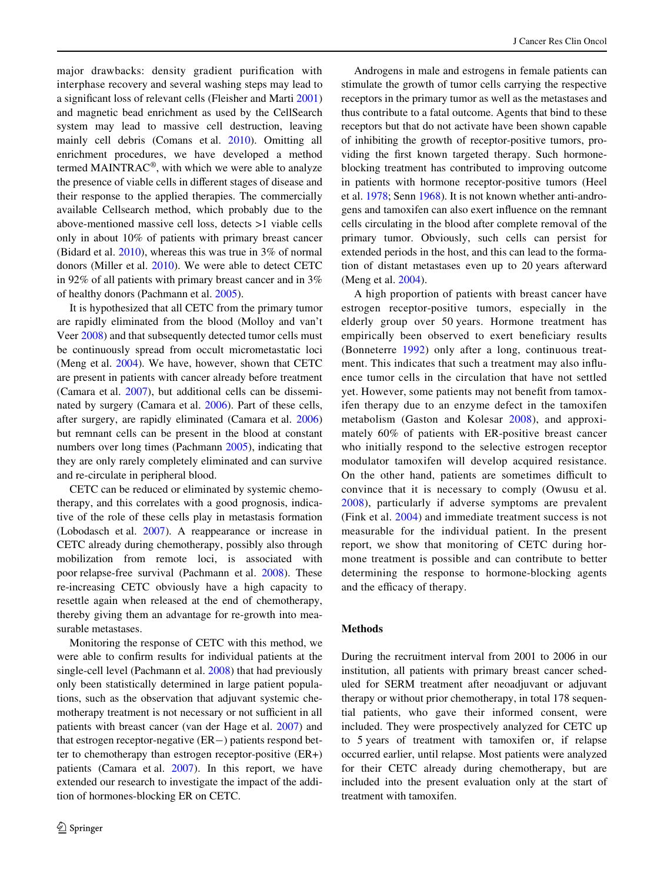major drawbacks: density gradient purification with interphase recovery and several washing steps may lead to a significant loss of relevant cells (Fleisher and Marti [2001\)](#page-6-1) and magnetic bead enrichment as used by the CellSearch system may lead to massive cell destruction, leaving mainly cell debris (Comans et al. [2010\)](#page-6-2). Omitting all enrichment procedures, we have developed a method termed MAINTRAC<sup>®</sup>, with which we were able to analyze the presence of viable cells in different stages of disease and their response to the applied therapies. The commercially available Cellsearch method, which probably due to the above-mentioned massive cell loss, detects >1 viable cells only in about 10% of patients with primary breast cancer (Bidard et al. [2010](#page-6-3)), whereas this was true in 3% of normal donors (Miller et al. [2010\)](#page-7-0). We were able to detect CETC in 92% of all patients with primary breast cancer and in 3% of healthy donors (Pachmann et al. [2005\)](#page-7-1).

It is hypothesized that all CETC from the primary tumor are rapidly eliminated from the blood (Molloy and van't Veer [2008\)](#page-7-2) and that subsequently detected tumor cells must be continuously spread from occult micrometastatic loci (Meng et al. [2004\)](#page-7-3). We have, however, shown that CETC are present in patients with cancer already before treatment (Camara et al. [2007](#page-6-4)), but additional cells can be disseminated by surgery (Camara et al. [2006\)](#page-6-5). Part of these cells, after surgery, are rapidly eliminated (Camara et al. [2006\)](#page-6-5) but remnant cells can be present in the blood at constant numbers over long times (Pachmann [2005](#page-7-4)), indicating that they are only rarely completely eliminated and can survive and re-circulate in peripheral blood.

CETC can be reduced or eliminated by systemic chemotherapy, and this correlates with a good prognosis, indicative of the role of these cells play in metastasis formation (Lobodasch et al. [2007](#page-6-6)). A reappearance or increase in CETC already during chemotherapy, possibly also through mobilization from remote loci, is associated with poor relapse-free survival (Pachmann et al. [2008\)](#page-7-5). These re-increasing CETC obviously have a high capacity to resettle again when released at the end of chemotherapy, thereby giving them an advantage for re-growth into measurable metastases.

Monitoring the response of CETC with this method, we were able to confirm results for individual patients at the single-cell level (Pachmann et al. [2008\)](#page-7-5) that had previously only been statistically determined in large patient populations, such as the observation that adjuvant systemic chemotherapy treatment is not necessary or not sufficient in all patients with breast cancer (van der Hage et al. [2007\)](#page-7-6) and that estrogen receptor-negative  $(ER-)$  patients respond better to chemotherapy than estrogen receptor-positive (ER+) patients (Camara et al. [2007\)](#page-6-4). In this report, we have extended our research to investigate the impact of the addition of hormones-blocking ER on CETC.

Androgens in male and estrogens in female patients can stimulate the growth of tumor cells carrying the respective receptors in the primary tumor as well as the metastases and thus contribute to a fatal outcome. Agents that bind to these receptors but that do not activate have been shown capable of inhibiting the growth of receptor-positive tumors, providing the first known targeted therapy. Such hormoneblocking treatment has contributed to improving outcome in patients with hormone receptor-positive tumors (Heel et al. [1978;](#page-6-7) Senn [1968](#page-7-7)). It is not known whether anti-androgens and tamoxifen can also exert influence on the remnant cells circulating in the blood after complete removal of the primary tumor. Obviously, such cells can persist for extended periods in the host, and this can lead to the formation of distant metastases even up to 20 years afterward (Meng et al. [2004](#page-7-3)).

A high proportion of patients with breast cancer have estrogen receptor-positive tumors, especially in the elderly group over 50 years. Hormone treatment has empirically been observed to exert beneficiary results (Bonneterre [1992](#page-6-8)) only after a long, continuous treatment. This indicates that such a treatment may also influence tumor cells in the circulation that have not settled yet. However, some patients may not benefit from tamoxifen therapy due to an enzyme defect in the tamoxifen metabolism (Gaston and Kolesar [2008](#page-6-9)), and approximately 60% of patients with ER-positive breast cancer who initially respond to the selective estrogen receptor modulator tamoxifen will develop acquired resistance. On the other hand, patients are sometimes difficult to convince that it is necessary to comply (Owusu et al. [2008\)](#page-7-8), particularly if adverse symptoms are prevalent (Fink et al. [2004](#page-6-10)) and immediate treatment success is not measurable for the individual patient. In the present report, we show that monitoring of CETC during hormone treatment is possible and can contribute to better determining the response to hormone-blocking agents and the efficacy of therapy.

#### **Methods**

During the recruitment interval from 2001 to 2006 in our institution, all patients with primary breast cancer scheduled for SERM treatment after neoadjuvant or adjuvant therapy or without prior chemotherapy, in total 178 sequential patients, who gave their informed consent, were included. They were prospectively analyzed for CETC up to 5 years of treatment with tamoxifen or, if relapse occurred earlier, until relapse. Most patients were analyzed for their CETC already during chemotherapy, but are included into the present evaluation only at the start of treatment with tamoxifen.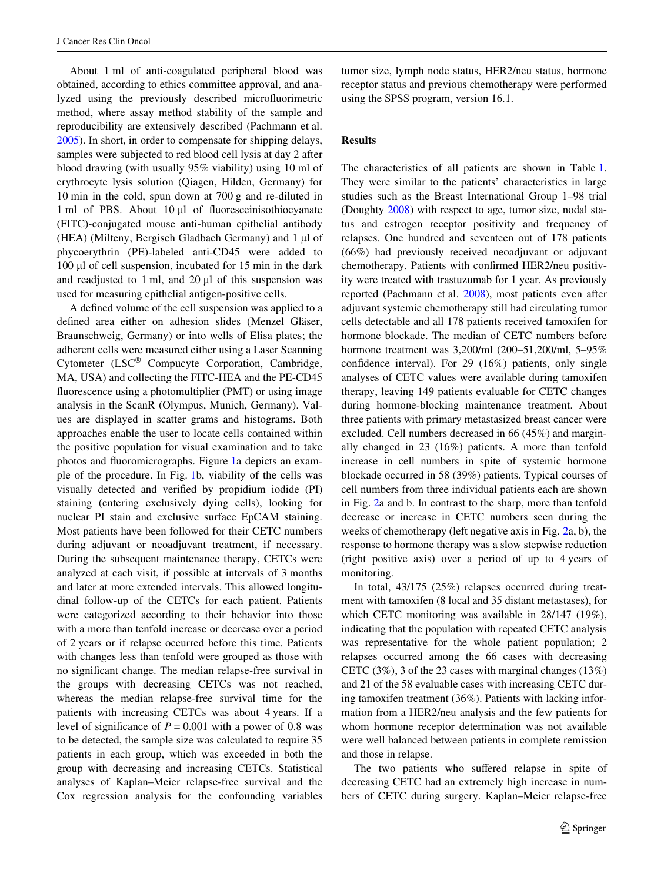About 1 ml of anti-coagulated peripheral blood was obtained, according to ethics committee approval, and analyzed using the previously described microfluorimetric method, where assay method stability of the sample and reproducibility are extensively described (Pachmann et al. [2005](#page-7-1)). In short, in order to compensate for shipping delays, samples were subjected to red blood cell lysis at day 2 after blood drawing (with usually 95% viability) using 10 ml of erythrocyte lysis solution (Qiagen, Hilden, Germany) for 10 min in the cold, spun down at 700 g and re-diluted in 1 ml of PBS. About 10 µl of fluoresceinisothiocyanate (FITC)-conjugated mouse anti-human epithelial antibody (HEA) (Milteny, Bergisch Gladbach Germany) and 1 µl of phycoerythrin (PE)-labeled anti-CD45 were added to  $100 \mu l$  of cell suspension, incubated for 15 min in the dark and readjusted to 1 ml, and 20  $\mu$ l of this suspension was used for measuring epithelial antigen-positive cells.

A defined volume of the cell suspension was applied to a defined area either on adhesion slides (Menzel Gläser, Braunschweig, Germany) or into wells of Elisa plates; the adherent cells were measured either using a Laser Scanning Cytometer (LSC® Compucyte Corporation, Cambridge, MA, USA) and collecting the FITC-HEA and the PE-CD45 fluorescence using a photomultiplier (PMT) or using image analysis in the ScanR (Olympus, Munich, Germany). Values are displayed in scatter grams and histograms. Both approaches enable the user to locate cells contained within the positive population for visual examination and to take photos and fluoromicrographs. Figure [1](#page-3-0)a depicts an example of the procedure. In Fig. [1b](#page-3-0), viability of the cells was visually detected and verified by propidium iodide (PI) staining (entering exclusively dying cells), looking for nuclear PI stain and exclusive surface EpCAM staining. Most patients have been followed for their CETC numbers during adjuvant or neoadjuvant treatment, if necessary. During the subsequent maintenance therapy, CETCs were analyzed at each visit, if possible at intervals of 3 months and later at more extended intervals. This allowed longitudinal follow-up of the CETCs for each patient. Patients were categorized according to their behavior into those with a more than tenfold increase or decrease over a period of 2 years or if relapse occurred before this time. Patients with changes less than tenfold were grouped as those with no significant change. The median relapse-free survival in the groups with decreasing CETCs was not reached, whereas the median relapse-free survival time for the patients with increasing CETCs was about 4 years. If a level of significance of  $P = 0.001$  with a power of 0.8 was to be detected, the sample size was calculated to require 35 patients in each group, which was exceeded in both the group with decreasing and increasing CETCs. Statistical analyses of Kaplan–Meier relapse-free survival and the Cox regression analysis for the confounding variables tumor size, lymph node status, HER2/neu status, hormone receptor status and previous chemotherapy were performed using the SPSS program, version 16.1.

# **Results**

The characteristics of all patients are shown in Table [1.](#page-4-0) They were similar to the patients' characteristics in large studies such as the Breast International Group 1–98 trial (Doughty [2008\)](#page-6-11) with respect to age, tumor size, nodal status and estrogen receptor positivity and frequency of relapses. One hundred and seventeen out of 178 patients (66%) had previously received neoadjuvant or adjuvant chemotherapy. Patients with confirmed HER2/neu positivity were treated with trastuzumab for 1 year. As previously reported (Pachmann et al. [2008](#page-7-5)), most patients even after adjuvant systemic chemotherapy still had circulating tumor cells detectable and all 178 patients received tamoxifen for hormone blockade. The median of CETC numbers before hormone treatment was 3,200/ml (200–51,200/ml, 5–95% confidence interval). For  $29$  (16%) patients, only single analyses of CETC values were available during tamoxifen therapy, leaving 149 patients evaluable for CETC changes during hormone-blocking maintenance treatment. About three patients with primary metastasized breast cancer were excluded. Cell numbers decreased in 66 (45%) and marginally changed in 23 (16%) patients. A more than tenfold increase in cell numbers in spite of systemic hormone blockade occurred in 58 (39%) patients. Typical courses of cell numbers from three individual patients each are shown in Fig. [2](#page-4-1)a and b. In contrast to the sharp, more than tenfold decrease or increase in CETC numbers seen during the weeks of chemotherapy (left negative axis in Fig. [2a](#page-4-1), b), the response to hormone therapy was a slow stepwise reduction (right positive axis) over a period of up to 4 years of monitoring.

In total, 43/175 (25%) relapses occurred during treatment with tamoxifen (8 local and 35 distant metastases), for which CETC monitoring was available in 28/147 (19%), indicating that the population with repeated CETC analysis was representative for the whole patient population; 2 relapses occurred among the 66 cases with decreasing CETC (3%), 3 of the 23 cases with marginal changes (13%) and 21 of the 58 evaluable cases with increasing CETC during tamoxifen treatment (36%). Patients with lacking information from a HER2/neu analysis and the few patients for whom hormone receptor determination was not available were well balanced between patients in complete remission and those in relapse.

The two patients who suffered relapse in spite of decreasing CETC had an extremely high increase in numbers of CETC during surgery. Kaplan–Meier relapse-free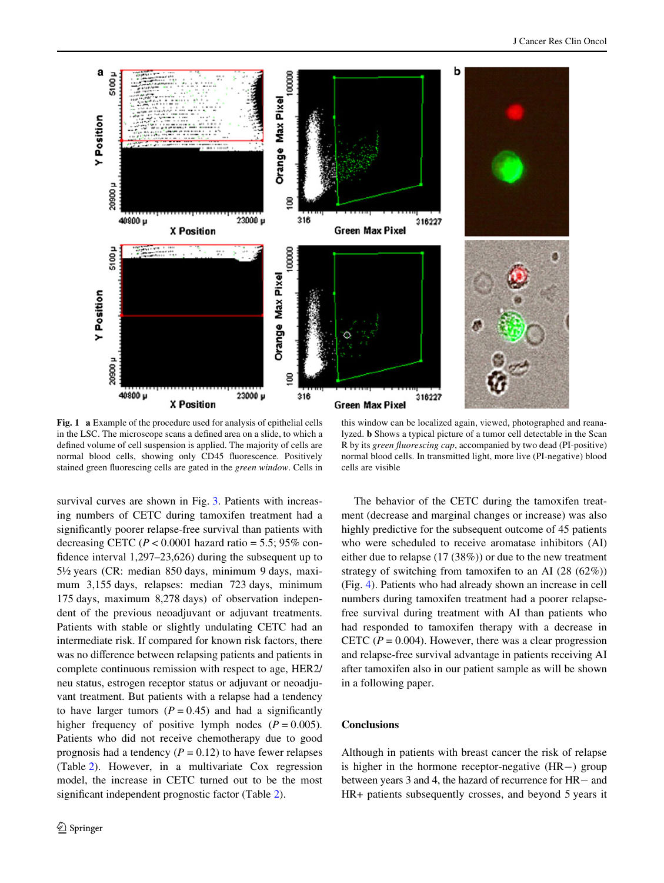

<span id="page-3-0"></span>**Fig. 1 a** Example of the procedure used for analysis of epithelial cells in the LSC. The microscope scans a defined area on a slide, to which a defined volume of cell suspension is applied. The majority of cells are normal blood cells, showing only CD45 fluorescence. Positively stained green fluorescing cells are gated in the *green window*. Cells in

this window can be localized again, viewed, photographed and reanalyzed. **b** Shows a typical picture of a tumor cell detectable in the Scan R by its *green fluorescing cap*, accompanied by two dead (PI-positive) normal blood cells. In transmitted light, more live (PI-negative) blood cells are visible

survival curves are shown in Fig. [3](#page-4-2). Patients with increasing numbers of CETC during tamoxifen treatment had a significantly poorer relapse-free survival than patients with decreasing CETC ( $P < 0.0001$  hazard ratio = 5.5; 95% confidence interval  $1,297-23,626$ ) during the subsequent up to 5½ years (CR: median 850 days, minimum 9 days, maximum 3,155 days, relapses: median 723 days, minimum 175 days, maximum 8,278 days) of observation independent of the previous neoadjuvant or adjuvant treatments. Patients with stable or slightly undulating CETC had an intermediate risk. If compared for known risk factors, there was no difference between relapsing patients and patients in complete continuous remission with respect to age, HER2/ neu status, estrogen receptor status or adjuvant or neoadjuvant treatment. But patients with a relapse had a tendency to have larger tumors  $(P = 0.45)$  and had a significantly higher frequency of positive lymph nodes  $(P = 0.005)$ . Patients who did not receive chemotherapy due to good prognosis had a tendency  $(P = 0.12)$  to have fewer relapses (Table [2\)](#page-5-0). However, in a multivariate Cox regression model, the increase in CETC turned out to be the most significant independent prognostic factor (Table [2\)](#page-5-0).

The behavior of the CETC during the tamoxifen treatment (decrease and marginal changes or increase) was also highly predictive for the subsequent outcome of 45 patients who were scheduled to receive aromatase inhibitors (AI) either due to relapse (17 (38%)) or due to the new treatment strategy of switching from tamoxifen to an AI (28 (62%)) (Fig. [4\)](#page-5-1). Patients who had already shown an increase in cell numbers during tamoxifen treatment had a poorer relapsefree survival during treatment with AI than patients who had responded to tamoxifen therapy with a decrease in CETC  $(P = 0.004)$ . However, there was a clear progression and relapse-free survival advantage in patients receiving AI after tamoxifen also in our patient sample as will be shown in a following paper.

# **Conclusions**

Although in patients with breast cancer the risk of relapse is higher in the hormone receptor-negative  $(HR-)$  group between years  $3$  and  $4$ , the hazard of recurrence for  $HR$  and HR+ patients subsequently crosses, and beyond 5 years it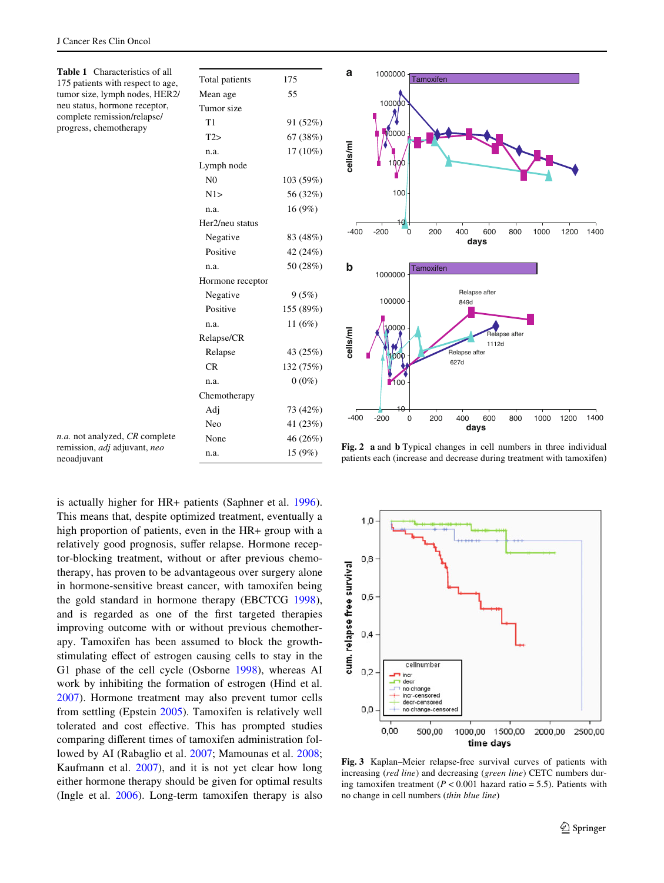<span id="page-4-0"></span>**Table 1** Characteristics of all 175 patients with respect to age, tumor size, lymph nodes, HER2/ neu status, hormone receptor, complete remission/relapse/ progress, chemotherapy

*n.a.* not analyzed, *CR* complete remission, *adj* adjuvant, *neo*

neoadjuvant

| Total patients   | 175       |
|------------------|-----------|
| Mean age         | 55        |
| Tumor size       |           |
| T1               | 91 (52%)  |
| T2               | 67 (38%)  |
| n.a.             | 17 (10%)  |
| Lymph node       |           |
| N <sub>0</sub>   | 103 (59%) |
| N1               | 56 (32%)  |
| n.a.             | 16 (9%)   |
| Her2/neu status  |           |
| Negative         | 83 (48%)  |
| Positive         | 42 (24%)  |
| n.a.             | 50 (28%)  |
| Hormone receptor |           |
| Negative         | 9(5%)     |
| Positive         | 155 (89%) |
| n.a.             | 11 $(6%)$ |
| Relapse/CR       |           |
| Relapse          | 43 (25%)  |
| CR               | 132 (75%) |
| n.a.             | $0(0\%)$  |
| Chemotherapy     |           |
| Adi              | 73 (42%)  |
| Neo              | 41 (23%)  |
| None             | 46 (26%)  |
| n.a.             | 15 (9%)   |

is actually higher for HR+ patients (Saphner et al. [1996](#page-7-9)). This means that, despite optimized treatment, eventually a high proportion of patients, even in the HR+ group with a relatively good prognosis, suffer relapse. Hormone receptor-blocking treatment, without or after previous chemotherapy, has proven to be advantageous over surgery alone in hormone-sensitive breast cancer, with tamoxifen being the gold standard in hormone therapy (EBCTCG [1998](#page-6-12)), and is regarded as one of the first targeted therapies improving outcome with or without previous chemotherapy. Tamoxifen has been assumed to block the growthstimulating effect of estrogen causing cells to stay in the G1 phase of the cell cycle (Osborne [1998\)](#page-7-10), whereas AI work by inhibiting the formation of estrogen (Hind et al. [2007](#page-6-13)). Hormone treatment may also prevent tumor cells from settling (Epstein [2005\)](#page-6-14). Tamoxifen is relatively well tolerated and cost effective. This has prompted studies comparing different times of tamoxifen administration followed by AI (Rabaglio et al. [2007](#page-7-11); Mamounas et al. [2008](#page-6-15); Kaufmann et al. [2007\)](#page-6-16), and it is not yet clear how long either hormone therapy should be given for optimal results (Ingle et al. [2006\)](#page-6-17). Long-term tamoxifen therapy is also



<span id="page-4-1"></span>**Fig. 2 a** and **b** Typical changes in cell numbers in three individual patients each (increase and decrease during treatment with tamoxifen)



<span id="page-4-2"></span>**Fig. 3** Kaplan–Meier relapse-free survival curves of patients with increasing (*red line*) and decreasing (*green line*) CETC numbers during tamoxifen treatment ( $P < 0.001$  hazard ratio = 5.5). Patients with no change in cell numbers (*thin blue line*)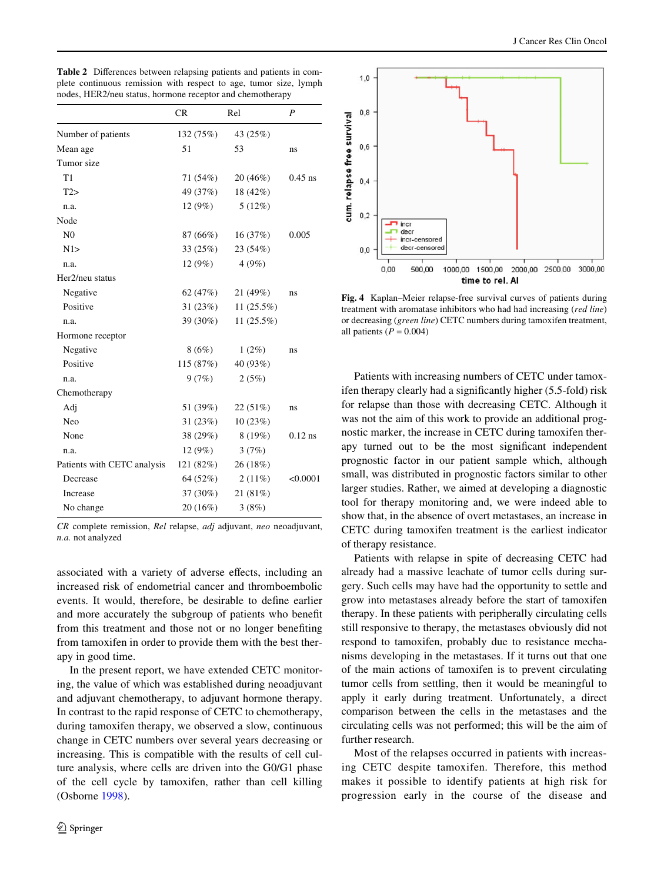<span id="page-5-0"></span>

| Table 2 Differences between relapsing patients and patients in com- |  |  |  |  |
|---------------------------------------------------------------------|--|--|--|--|
| plete continuous remission with respect to age, tumor size, lymph   |  |  |  |  |
| nodes, HER2/neu status, hormone receptor and chemotherapy           |  |  |  |  |

|                             | <b>CR</b> | Rel          | P         |
|-----------------------------|-----------|--------------|-----------|
| Number of patients          | 132 (75%) | 43 (25%)     |           |
| Mean age                    | 51        | 53           | ns        |
| Tumor size                  |           |              |           |
| T1                          | 71 (54%)  | 20(46%)      | $0.45$ ns |
| T2                          | 49 (37%)  | $18(42\%)$   |           |
| n.a.                        | 12(9%)    | 5(12%)       |           |
| Node                        |           |              |           |
| N <sub>0</sub>              | 87 (66%)  | 16(37%)      | 0.005     |
| N1                          | 33 (25%)  | 23 (54%)     |           |
| n.a.                        | 12(9%)    | 4(9%)        |           |
| Her2/neu status             |           |              |           |
| Negative                    | 62 (47%)  | 21(49%)      | ns        |
| Positive                    | 31(23%)   | 11 $(25.5%)$ |           |
| n.a.                        | 39 (30%)  | 11(25.5%)    |           |
| Hormone receptor            |           |              |           |
| Negative                    | 8 (6%)    | $1(2\%)$     | ns        |
| Positive                    | 115(87%)  | 40 (93%)     |           |
| n.a.                        | 9(7%)     | 2(5%)        |           |
| Chemotherapy                |           |              |           |
| Adj                         | 51 (39%)  | 22(51%)      | ns        |
| Neo                         | 31 (23%)  | 10(23%)      |           |
| None                        | 38 (29%)  | 8(19%)       | $0.12$ ns |
| n.a.                        | 12(9%)    | 3(7%)        |           |
| Patients with CETC analysis | 121(82%)  | 26(18%)      |           |
| Decrease                    | 64 (52%)  | 2(11%)       | < 0.0001  |
| Increase                    | 37 (30%)  | 21(81%)      |           |
| No change                   | 20 (16%)  | 3(8%)        |           |

*CR* complete remission, *Rel* relapse, *adj* adjuvant, *neo* neoadjuvant, *n.a.* not analyzed

associated with a variety of adverse effects, including an increased risk of endometrial cancer and thromboembolic events. It would, therefore, be desirable to define earlier and more accurately the subgroup of patients who benefit from this treatment and those not or no longer benefiting from tamoxifen in order to provide them with the best therapy in good time.

In the present report, we have extended CETC monitoring, the value of which was established during neoadjuvant and adjuvant chemotherapy, to adjuvant hormone therapy. In contrast to the rapid response of CETC to chemotherapy, during tamoxifen therapy, we observed a slow, continuous change in CETC numbers over several years decreasing or increasing. This is compatible with the results of cell culture analysis, where cells are driven into the G0/G1 phase of the cell cycle by tamoxifen, rather than cell killing (Osborne [1998\)](#page-7-10).



<span id="page-5-1"></span>**Fig. 4** Kaplan–Meier relapse-free survival curves of patients during treatment with aromatase inhibitors who had had increasing (*red line*) or decreasing (*green line*) CETC numbers during tamoxifen treatment, all patients ( $P = 0.004$ )

Patients with increasing numbers of CETC under tamoxifen therapy clearly had a significantly higher (5.5-fold) risk for relapse than those with decreasing CETC. Although it was not the aim of this work to provide an additional prognostic marker, the increase in CETC during tamoxifen therapy turned out to be the most significant independent prognostic factor in our patient sample which, although small, was distributed in prognostic factors similar to other larger studies. Rather, we aimed at developing a diagnostic tool for therapy monitoring and, we were indeed able to show that, in the absence of overt metastases, an increase in CETC during tamoxifen treatment is the earliest indicator of therapy resistance.

Patients with relapse in spite of decreasing CETC had already had a massive leachate of tumor cells during surgery. Such cells may have had the opportunity to settle and grow into metastases already before the start of tamoxifen therapy. In these patients with peripherally circulating cells still responsive to therapy, the metastases obviously did not respond to tamoxifen, probably due to resistance mechanisms developing in the metastases. If it turns out that one of the main actions of tamoxifen is to prevent circulating tumor cells from settling, then it would be meaningful to apply it early during treatment. Unfortunately, a direct comparison between the cells in the metastases and the circulating cells was not performed; this will be the aim of further research.

Most of the relapses occurred in patients with increasing CETC despite tamoxifen. Therefore, this method makes it possible to identify patients at high risk for progression early in the course of the disease and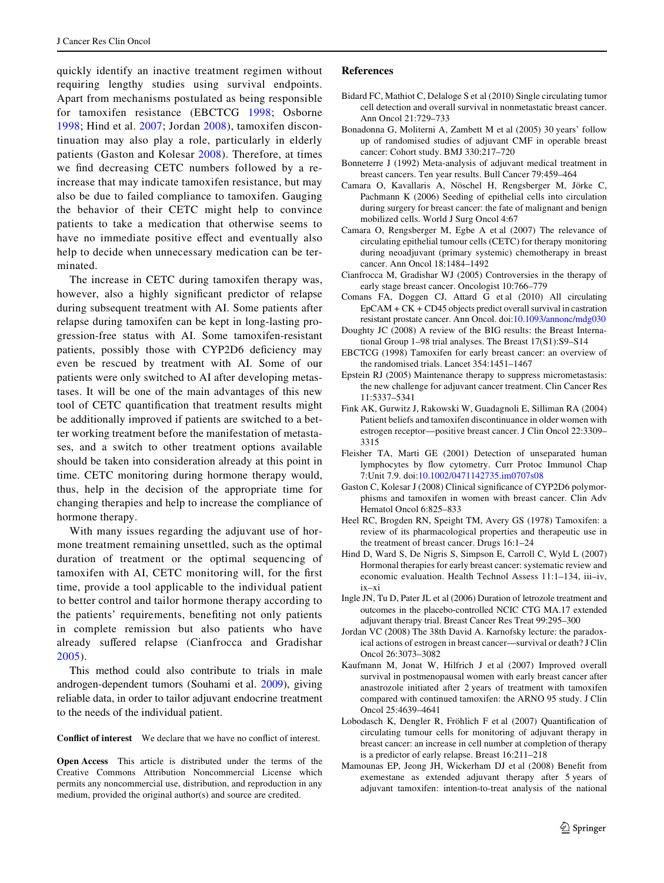quickly identify an inactive treatment regimen without requiring lengthy studies using survival endpoints. Apart from mechanisms postulated as being responsible for tamoxifen resistance (EBCTCG [1998](#page-6-12); Osborne [1998;](#page-7-10) Hind et al. [2007;](#page-6-13) Jordan [2008](#page-6-18)), tamoxifen discontinuation may also play a role, particularly in elderly patients (Gaston and Kolesar [2008\)](#page-6-9). Therefore, at times we find decreasing CETC numbers followed by a reincrease that may indicate tamoxifen resistance, but may also be due to failed compliance to tamoxifen. Gauging the behavior of their CETC might help to convince patients to take a medication that otherwise seems to have no immediate positive effect and eventually also help to decide when unnecessary medication can be terminated.

The increase in CETC during tamoxifen therapy was, however, also a highly significant predictor of relapse during subsequent treatment with AI. Some patients after relapse during tamoxifen can be kept in long-lasting progression-free status with AI. Some tamoxifen-resistant patients, possibly those with CYP2D6 deficiency may even be rescued by treatment with AI. Some of our patients were only switched to AI after developing metastases. It will be one of the main advantages of this new tool of CETC quantification that treatment results might be additionally improved if patients are switched to a better working treatment before the manifestation of metastases, and a switch to other treatment options available should be taken into consideration already at this point in time. CETC monitoring during hormone therapy would, thus, help in the decision of the appropriate time for changing therapies and help to increase the compliance of hormone therapy.

With many issues regarding the adjuvant use of hormone treatment remaining unsettled, such as the optimal duration of treatment or the optimal sequencing of tamoxifen with AI, CETC monitoring will, for the first time, provide a tool applicable to the individual patient to better control and tailor hormone therapy according to the patients' requirements, benefiting not only patients in complete remission but also patients who have already suffered relapse (Cianfrocca and Gradishar [2005\)](#page-6-19).

This method could also contribute to trials in male androgen-dependent tumors (Souhami et al. [2009\)](#page-7-12), giving reliable data, in order to tailor adjuvant endocrine treatment to the needs of the individual patient.

**Conflict of interest** We declare that we have no conflict of interest.

**Open Access** This article is distributed under the terms of the Creative Commons Attribution Noncommercial License which permits any noncommercial use, distribution, and reproduction in any medium, provided the original author(s) and source are credited.

## **References**

- <span id="page-6-3"></span>Bidard FC, Mathiot C, Delaloge S et al (2010) Single circulating tumor cell detection and overall survival in nonmetastatic breast cancer. Ann Oncol 21:729–733
- <span id="page-6-0"></span>Bonadonna G, Moliterni A, Zambett M et al (2005) 30 years' follow up of randomised studies of adjuvant CMF in operable breast cancer: Cohort study. BMJ 330:217–720
- <span id="page-6-8"></span>Bonneterre J (1992) Meta-analysis of adjuvant medical treatment in breast cancers. Ten year results. Bull Cancer 79:459–464
- <span id="page-6-5"></span>Camara O, Kavallaris A, Nöschel H, Rengsberger M, Jörke C, Pachmann K (2006) Seeding of epithelial cells into circulation during surgery for breast cancer: the fate of malignant and benign mobilized cells. World J Surg Oncol 4:67
- <span id="page-6-4"></span>Camara O, Rengsberger M, Egbe A et al (2007) The relevance of circulating epithelial tumour cells (CETC) for therapy monitoring during neoadjuvant (primary systemic) chemotherapy in breast cancer. Ann Oncol 18:1484–1492
- <span id="page-6-19"></span>Cianfrocca M, Gradishar WJ (2005) Controversies in the therapy of early stage breast cancer. Oncologist 10:766–779
- <span id="page-6-2"></span>Comans FA, Doggen CJ, Attard G et al (2010) All circulating EpCAM + CK + CD45 objects predict overall survival in castration resistant prostate cancer. Ann Oncol. doi[:10.1093/annonc/mdg030](http://dx.doi.org/10.1093/annonc/mdg030)
- <span id="page-6-11"></span>Doughty JC (2008) A review of the BIG results: the Breast International Group 1–98 trial analyses. The Breast 17(S1):S9–S14
- <span id="page-6-12"></span>EBCTCG (1998) Tamoxifen for early breast cancer: an overview of the randomised trials. Lancet 354:1451–1467
- <span id="page-6-14"></span>Epstein RJ (2005) Maintenance therapy to suppress micrometastasis: the new challenge for adjuvant cancer treatment. Clin Cancer Res 11:5337–5341
- <span id="page-6-10"></span>Fink AK, Gurwitz J, Rakowski W, Guadagnoli E, Silliman RA (2004) Patient beliefs and tamoxifen discontinuance in older women with estrogen receptor—positive breast cancer. J Clin Oncol 22:3309– 3315
- <span id="page-6-1"></span>Fleisher TA, Marti GE (2001) Detection of unseparated human lymphocytes by flow cytometry. Curr Protoc Immunol Chap 7:Unit 7.9. doi[:10.1002/0471142735.im0707s08](http://dx.doi.org/10.1002/0471142735.im0707s08)
- <span id="page-6-9"></span>Gaston C, Kolesar J (2008) Clinical significance of CYP2D6 polymorphisms and tamoxifen in women with breast cancer. Clin Adv Hematol Oncol 6:825–833
- <span id="page-6-7"></span>Heel RC, Brogden RN, Speight TM, Avery GS (1978) Tamoxifen: a review of its pharmacological properties and therapeutic use in the treatment of breast cancer. Drugs 16:1–24
- <span id="page-6-13"></span>Hind D, Ward S, De Nigris S, Simpson E, Carroll C, Wyld L (2007) Hormonal therapies for early breast cancer: systematic review and economic evaluation. Health Technol Assess 11:1–134, iii–iv, ix–xi
- <span id="page-6-17"></span>Ingle JN, Tu D, Pater JL et al (2006) Duration of letrozole treatment and outcomes in the placebo-controlled NCIC CTG MA.17 extended adjuvant therapy trial. Breast Cancer Res Treat 99:295–300
- <span id="page-6-18"></span>Jordan VC (2008) The 38th David A. Karnofsky lecture: the paradoxical actions of estrogen in breast cancer—survival or death? J Clin Oncol 26:3073–3082
- <span id="page-6-16"></span>Kaufmann M, Jonat W, Hilfrich J et al (2007) Improved overall survival in postmenopausal women with early breast cancer after anastrozole initiated after 2 years of treatment with tamoxifen compared with continued tamoxifen: the ARNO 95 study. J Clin Oncol 25:4639–4641
- <span id="page-6-6"></span>Lobodasch K, Dengler R, Fröhlich F et al (2007) Quantification of circulating tumour cells for monitoring of adjuvant therapy in breast cancer: an increase in cell number at completion of therapy is a predictor of early relapse. Breast 16:211–218
- <span id="page-6-15"></span>Mamounas EP, Jeong JH, Wickerham DJ et al (2008) Benefit from exemestane as extended adjuvant therapy after 5 years of adjuvant tamoxifen: intention-to-treat analysis of the national